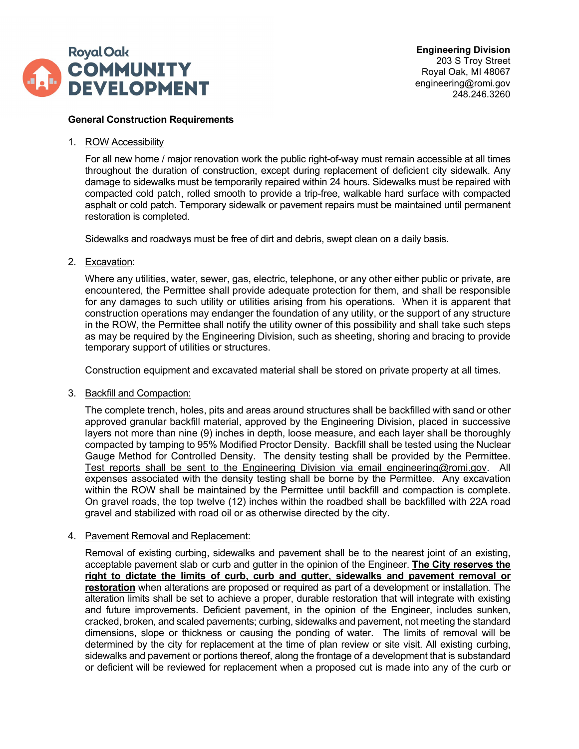

## **General Construction Requirements**

1. ROW Accessibility

For all new home / major renovation work the public right-of-way must remain accessible at all times throughout the duration of construction, except during replacement of deficient city sidewalk. Any damage to sidewalks must be temporarily repaired within 24 hours. Sidewalks must be repaired with compacted cold patch, rolled smooth to provide a trip-free, walkable hard surface with compacted asphalt or cold patch. Temporary sidewalk or pavement repairs must be maintained until permanent restoration is completed.

Sidewalks and roadways must be free of dirt and debris, swept clean on a daily basis.

2. Excavation:

Where any utilities, water, sewer, gas, electric, telephone, or any other either public or private, are encountered, the Permittee shall provide adequate protection for them, and shall be responsible for any damages to such utility or utilities arising from his operations. When it is apparent that construction operations may endanger the foundation of any utility, or the support of any structure in the ROW, the Permittee shall notify the utility owner of this possibility and shall take such steps as may be required by the Engineering Division, such as sheeting, shoring and bracing to provide temporary support of utilities or structures.

Construction equipment and excavated material shall be stored on private property at all times.

3. Backfill and Compaction:

The complete trench, holes, pits and areas around structures shall be backfilled with sand or other approved granular backfill material, approved by the Engineering Division, placed in successive layers not more than nine (9) inches in depth, loose measure, and each layer shall be thoroughly compacted by tamping to 95% Modified Proctor Density. Backfill shall be tested using the Nuclear Gauge Method for Controlled Density. The density testing shall be provided by the Permittee. Test reports shall be sent to the Engineering Division via email engineering@romi.gov. All expenses associated with the density testing shall be borne by the Permittee. Any excavation within the ROW shall be maintained by the Permittee until backfill and compaction is complete. On gravel roads, the top twelve (12) inches within the roadbed shall be backfilled with 22A road gravel and stabilized with road oil or as otherwise directed by the city.

#### 4. Pavement Removal and Replacement:

Removal of existing curbing, sidewalks and pavement shall be to the nearest joint of an existing, acceptable pavement slab or curb and gutter in the opinion of the Engineer. **The City reserves the right to dictate the limits of curb, curb and gutter, sidewalks and pavement removal or restoration** when alterations are proposed or required as part of a development or installation. The alteration limits shall be set to achieve a proper, durable restoration that will integrate with existing and future improvements. Deficient pavement, in the opinion of the Engineer, includes sunken, cracked, broken, and scaled pavements; curbing, sidewalks and pavement, not meeting the standard dimensions, slope or thickness or causing the ponding of water. The limits of removal will be determined by the city for replacement at the time of plan review or site visit. All existing curbing, sidewalks and pavement or portions thereof, along the frontage of a development that is substandard or deficient will be reviewed for replacement when a proposed cut is made into any of the curb or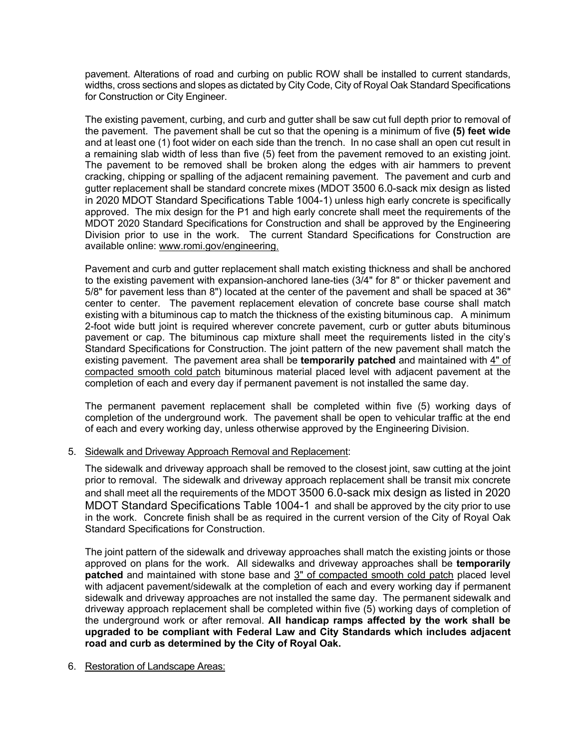pavement. Alterations of road and curbing on public ROW shall be installed to current standards, widths, cross sections and slopes as dictated by City Code, City of Royal Oak Standard Specifications for Construction or City Engineer.

The existing pavement, curbing, and curb and gutter shall be saw cut full depth prior to removal of the pavement. The pavement shall be cut so that the opening is a minimum of five **(5) feet wide** and at least one (1) foot wider on each side than the trench. In no case shall an open cut result in a remaining slab width of less than five (5) feet from the pavement removed to an existing joint. The pavement to be removed shall be broken along the edges with air hammers to prevent cracking, chipping or spalling of the adjacent remaining pavement. The pavement and curb and gutter replacement shall be standard concrete mixes (MDOT 3500 6.0-sack mix design as listed in 2020 MDOT Standard Specifications Table 1004-1) unless high early concrete is specifically approved. The mix design for the P1 and high early concrete shall meet the requirements of the MDOT 2020 Standard Specifications for Construction and shall be approved by the Engineering Division prior to use in the work. The current Standard Specifications for Construction are available online: [www.romi.gov/engineering.](file://ro-ch-fs03/dept/Engineering/FORMS/Permits/ROW/www.romi.gov/engineering)

Pavement and curb and gutter replacement shall match existing thickness and shall be anchored to the existing pavement with expansion-anchored lane-ties (3/4" for 8" or thicker pavement and 5/8" for pavement less than 8") located at the center of the pavement and shall be spaced at 36" center to center. The pavement replacement elevation of concrete base course shall match existing with a bituminous cap to match the thickness of the existing bituminous cap. A minimum 2-foot wide butt joint is required wherever concrete pavement, curb or gutter abuts bituminous pavement or cap. The bituminous cap mixture shall meet the requirements listed in the city's Standard Specifications for Construction. The joint pattern of the new pavement shall match the existing pavement. The pavement area shall be **temporarily patched** and maintained with 4" of compacted smooth cold patch bituminous material placed level with adjacent pavement at the completion of each and every day if permanent pavement is not installed the same day.

The permanent pavement replacement shall be completed within five (5) working days of completion of the underground work. The pavement shall be open to vehicular traffic at the end of each and every working day, unless otherwise approved by the Engineering Division.

5. Sidewalk and Driveway Approach Removal and Replacement:

The sidewalk and driveway approach shall be removed to the closest joint, saw cutting at the joint prior to removal. The sidewalk and driveway approach replacement shall be transit mix concrete and shall meet all the requirements of the MDOT 3500 6.0-sack mix design as listed in 2020 MDOT Standard Specifications Table 1004-1 and shall be approved by the city prior to use in the work. Concrete finish shall be as required in the current version of the City of Royal Oak Standard Specifications for Construction.

The joint pattern of the sidewalk and driveway approaches shall match the existing joints or those approved on plans for the work. All sidewalks and driveway approaches shall be **temporarily patched** and maintained with stone base and 3" of compacted smooth cold patch placed level with adjacent pavement/sidewalk at the completion of each and every working day if permanent sidewalk and driveway approaches are not installed the same day. The permanent sidewalk and driveway approach replacement shall be completed within five (5) working days of completion of the underground work or after removal. **All handicap ramps affected by the work shall be upgraded to be compliant with Federal Law and City Standards which includes adjacent road and curb as determined by the City of Royal Oak.**

6. Restoration of Landscape Areas: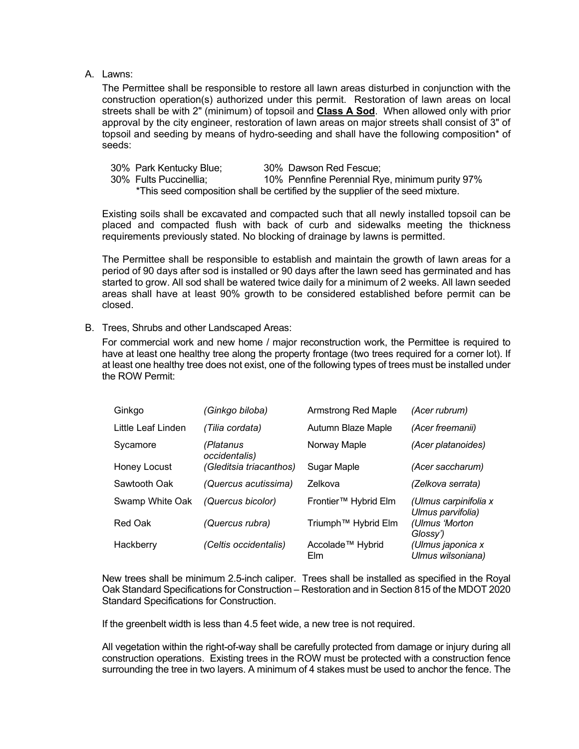## A. Lawns:

The Permittee shall be responsible to restore all lawn areas disturbed in conjunction with the construction operation(s) authorized under this permit. Restoration of lawn areas on local streets shall be with 2" (minimum) of topsoil and **Class A Sod**. When allowed only with prior approval by the city engineer, restoration of lawn areas on major streets shall consist of 3" of topsoil and seeding by means of hydro-seeding and shall have the following composition\* of seeds:

| 30% Park Kentucky Blue; | 30% Dawson Red Fescue;                                                         |
|-------------------------|--------------------------------------------------------------------------------|
| 30% Fults Puccinellia;  | 10% Pennfine Perennial Rye, minimum purity 97%                                 |
|                         | *This seed composition shall be certified by the supplier of the seed mixture. |

Existing soils shall be excavated and compacted such that all newly installed topsoil can be placed and compacted flush with back of curb and sidewalks meeting the thickness requirements previously stated. No blocking of drainage by lawns is permitted.

The Permittee shall be responsible to establish and maintain the growth of lawn areas for a period of 90 days after sod is installed or 90 days after the lawn seed has germinated and has started to grow. All sod shall be watered twice daily for a minimum of 2 weeks. All lawn seeded areas shall have at least 90% growth to be considered established before permit can be closed.

B. Trees, Shrubs and other Landscaped Areas:

For commercial work and new home / major reconstruction work, the Permittee is required to have at least one healthy tree along the property frontage (two trees required for a corner lot). If at least one healthy tree does not exist, one of the following types of trees must be installed under the ROW Permit:

| Ginkgo             | (Ginkgo biloba)            | Armstrong Red Maple                 | (Acer rubrum)                              |
|--------------------|----------------------------|-------------------------------------|--------------------------------------------|
| Little Leaf Linden | (Tilia cordata)            | Autumn Blaze Maple                  | (Acer freemanii)                           |
| Sycamore           | (Platanus<br>occidentalis) | Norway Maple                        | (Acer platanoides)                         |
| Honey Locust       | (Gleditsia triacanthos)    | Sugar Maple                         | (Acer saccharum)                           |
| Sawtooth Oak       | (Quercus acutissima)       | Zelkova                             | (Zelkova serrata)                          |
| Swamp White Oak    | (Quercus bicolor)          | Frontier™ Hybrid Elm                | (Ulmus carpinifolia x<br>Ulmus parvifolia) |
| Red Oak            | (Quercus rubra)            | Triumph™ Hybrid Elm                 | (Ulmus 'Morton<br>Glossy')                 |
| Hackberry          | (Celtis occidentalis)      | Accolade <sup>™</sup> Hybrid<br>Elm | (Ulmus japonica x<br>Ulmus wilsoniana)     |

New trees shall be minimum 2.5-inch caliper. Trees shall be installed as specified in the Royal Oak Standard Specifications for Construction – Restoration and in Section 815 of the MDOT 2020 Standard Specifications for Construction.

If the greenbelt width is less than 4.5 feet wide, a new tree is not required.

All vegetation within the right-of-way shall be carefully protected from damage or injury during all construction operations. Existing trees in the ROW must be protected with a construction fence surrounding the tree in two layers. A minimum of 4 stakes must be used to anchor the fence. The